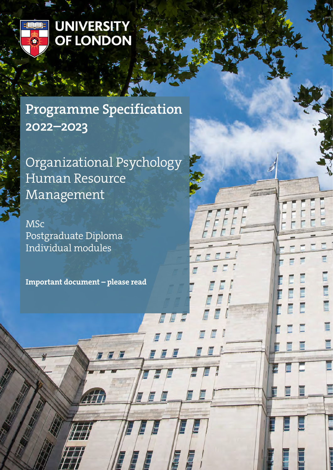

# UNIVERSITY<br>OF LONDON

# Programme Specification 2022–2023

Organizational Psychology Human Resource Management

E

MSc Postgraduate Diploma Individual modules

Important document – please read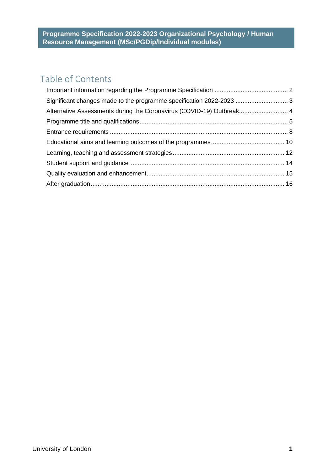# Table of Contents

| Significant changes made to the programme specification 2022-2023  3 |
|----------------------------------------------------------------------|
| Alternative Assessments during the Coronavirus (COVID-19) Outbreak 4 |
|                                                                      |
|                                                                      |
|                                                                      |
|                                                                      |
|                                                                      |
|                                                                      |
|                                                                      |
|                                                                      |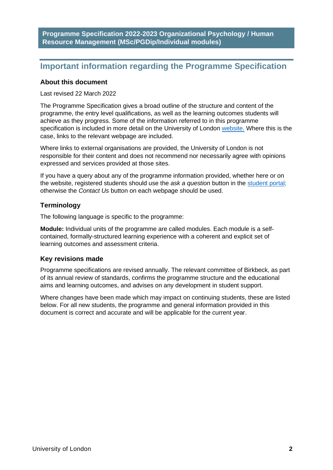# <span id="page-2-0"></span>**Important information regarding the Programme Specification**

#### **About this document**

#### Last revised 22 March 2022

The Programme Specification gives a broad outline of the structure and content of the programme, the entry level qualifications, as well as the learning outcomes students will achieve as they progress. Some of the information referred to in this programme specification is included in more detail on the University of London [website.](https://london.ac.uk/) Where this is the case, links to the relevant webpage are included.

Where links to external organisations are provided, the University of London is not responsible for their content and does not recommend nor necessarily agree with opinions expressed and services provided at those sites.

If you have a query about any of the programme information provided, whether here or on the website, registered students should use the *ask a question* button in the [student portal;](https://my.london.ac.uk/) otherwise the *Contact Us* button on each webpage should be used.

#### **Terminology**

The following language is specific to the programme:

**Module:** Individual units of the programme are called modules. Each module is a selfcontained, formally-structured learning experience with a coherent and explicit set of learning outcomes and assessment criteria.

#### **Key revisions made**

Programme specifications are revised annually. The relevant committee of Birkbeck, as part of its annual review of standards, confirms the programme structure and the educational aims and learning outcomes, and advises on any development in student support.

Where changes have been made which may impact on continuing students, these are listed below. For all new students, the programme and general information provided in this document is correct and accurate and will be applicable for the current year.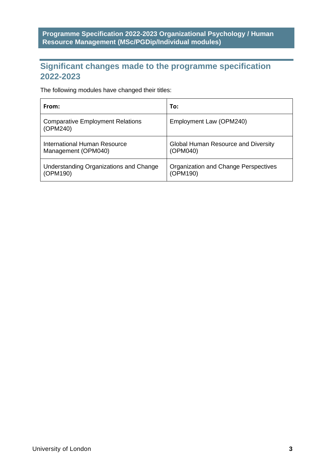# <span id="page-3-0"></span>**Significant changes made to the programme specification 2022-2023**

The following modules have changed their titles:

| From:                                               | To:                                  |
|-----------------------------------------------------|--------------------------------------|
| <b>Comparative Employment Relations</b><br>(OPM240) | Employment Law (OPM240)              |
| International Human Resource                        | Global Human Resource and Diversity  |
| Management (OPM040)                                 | (OPM040)                             |
| Understanding Organizations and Change              | Organization and Change Perspectives |
| (OPM190)                                            | (OPM190)                             |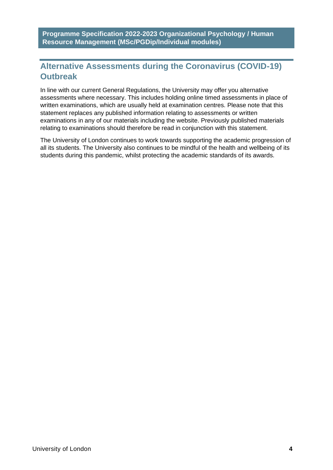# <span id="page-4-0"></span>**Alternative Assessments during the Coronavirus (COVID-19) Outbreak**

In line with our current General Regulations, the University may offer you alternative assessments where necessary. This includes holding online timed assessments in place of written examinations, which are usually held at examination centres. Please note that this statement replaces any published information relating to assessments or written examinations in any of our materials including the website. Previously published materials relating to examinations should therefore be read in conjunction with this statement.

The University of London continues to work towards supporting the academic progression of all its students. The University also continues to be mindful of the health and wellbeing of its students during this pandemic, whilst protecting the academic standards of its awards.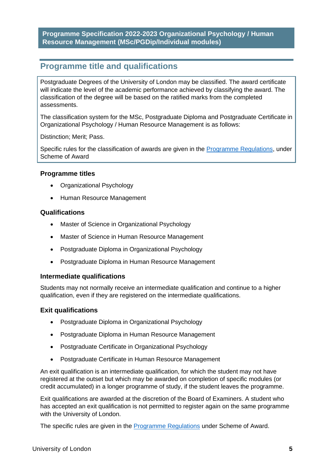# <span id="page-5-0"></span>**Programme title and qualifications**

Postgraduate Degrees of the University of London may be classified. The award certificate will indicate the level of the academic performance achieved by classifying the award. The classification of the degree will be based on the ratified marks from the completed assessments.

The classification system for the MSc, Postgraduate Diploma and Postgraduate Certificate in Organizational Psychology / Human Resource Management is as follows:

Distinction; Merit; Pass.

Specific rules for the classification of awards are given in the **Programme Regulations**, under Scheme of Award

#### **Programme titles**

- Organizational Psychology
- Human Resource Management

#### **Qualifications**

- Master of Science in Organizational Psychology
- Master of Science in Human Resource Management
- Postgraduate Diploma in Organizational Psychology
- Postgraduate Diploma in Human Resource Management

#### **Intermediate qualifications**

Students may not normally receive an intermediate qualification and continue to a higher qualification, even if they are registered on the intermediate qualifications.

#### **Exit qualifications**

- Postgraduate Diploma in Organizational Psychology
- Postgraduate Diploma in Human Resource Management
- Postgraduate Certificate in Organizational Psychology
- Postgraduate Certificate in Human Resource Management

An exit qualification is an intermediate qualification, for which the student may not have registered at the outset but which may be awarded on completion of specific modules (or credit accumulated) in a longer programme of study, if the student leaves the programme.

Exit qualifications are awarded at the discretion of the Board of Examiners. A student who has accepted an exit qualification is not permitted to register again on the same programme with the University of London.

The specific rules are given in the [Programme Regulations](https://london.ac.uk/current-students/programme-documents/regulations) under Scheme of Award.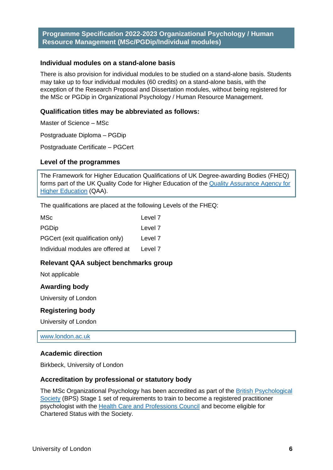#### **Individual modules on a stand-alone basis**

There is also provision for individual modules to be studied on a stand-alone basis. Students may take up to four individual modules (60 credits) on a stand-alone basis, with the exception of the Research Proposal and Dissertation modules, without being registered for the MSc or PGDip in Organizational Psychology / Human Resource Management.

#### **Qualification titles may be abbreviated as follows:**

Master of Science – MSc

Postgraduate Diploma – PGDip

Postgraduate Certificate – PGCert

#### **Level of the programmes**

The Framework for Higher Education Qualifications of UK Degree-awarding Bodies (FHEQ) forms part of the UK Quality Code for Higher Education of the Quality Assurance Agency for [Higher Education](http://www.qaa.ac.uk/en) (QAA).

The qualifications are placed at the following Levels of the FHEQ:

| MSc                               | Level 7 |
|-----------------------------------|---------|
| <b>PGDip</b>                      | Level 7 |
| PGCert (exit qualification only)  | Level 7 |
| Individual modules are offered at | Level 7 |

#### **Relevant QAA subject benchmarks group**

Not applicable

#### **Awarding body**

University of London

#### **Registering body**

University of London

[www.london.ac.uk](http://www.london.ac.uk/) 

#### **Academic direction**

Birkbeck, University of London

#### **Accreditation by professional or statutory body**

The MSc Organizational Psychology has been accredited as part of the British [Psychological](https://www.bps.org.uk/)  [Society](https://www.bps.org.uk/) (BPS) Stage 1 set of requirements to train to become a registered practitioner psychologist with the [Health Care and Professions Council](https://www.hcpc-uk.org/) and become eligible for Chartered Status with the Society.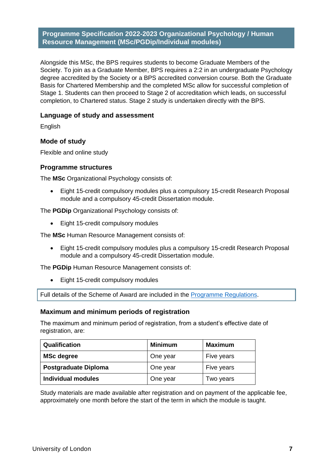Alongside this MSc, the BPS requires students to become Graduate Members of the Society. To join as a Graduate Member, BPS requires a 2:2 in an undergraduate Psychology degree accredited by the Society or a BPS accredited conversion course. Both the Graduate Basis for Chartered Membership and the completed MSc allow for successful completion of Stage 1. Students can then proceed to Stage 2 of accreditation which leads, on successful completion, to Chartered status. Stage 2 study is undertaken directly with the BPS.

#### **Language of study and assessment**

English

#### **Mode of study**

Flexible and online study

#### **Programme structures**

The **MSc** Organizational Psychology consists of:

• Eight 15-credit compulsory modules plus a compulsory 15-credit Research Proposal module and a compulsory 45-credit Dissertation module.

The **PGDip** Organizational Psychology consists of:

• Eight 15-credit compulsory modules

The **MSc** Human Resource Management consists of:

• Eight 15-credit compulsory modules plus a compulsory 15-credit Research Proposal module and a compulsory 45-credit Dissertation module.

The **PGDip** Human Resource Management consists of:

• Eight 15-credit compulsory modules

Full details of the Scheme of Award are included in the [Programme Regulations.](https://london.ac.uk/current-students/programme-documents/regulations)

#### **Maximum and minimum periods of registration**

The maximum and minimum period of registration, from a student's effective date of registration, are:

| Qualification               | <b>Minimum</b> | <b>Maximum</b> |
|-----------------------------|----------------|----------------|
| <b>MSc degree</b>           | One year       | Five years     |
| <b>Postgraduate Diploma</b> | One year       | Five years     |
| <b>Individual modules</b>   | One year       | Two years      |

Study materials are made available after registration and on payment of the applicable fee, approximately one month before the start of the term in which the module is taught.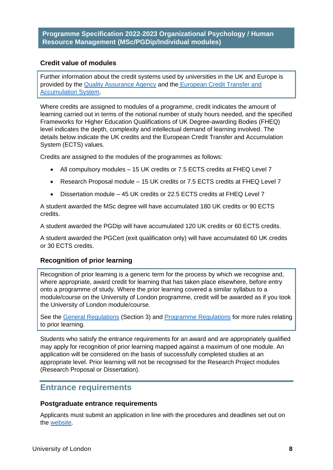#### **Credit value of modules**

Further information about the credit systems used by universities in the UK and Europe is provided by the [Quality Assurance Agency](http://www.qaa.ac.uk/en) and the [European Credit Transfer and](http://ec.europa.eu/education/resources/european-credit-transfer-accumulation-system_en.htm)  [Accumulation System.](http://ec.europa.eu/education/resources/european-credit-transfer-accumulation-system_en.htm)

Where credits are assigned to modules of a programme, credit indicates the amount of learning carried out in terms of the notional number of study hours needed, and the specified Frameworks for Higher Education Qualifications of UK Degree-awarding Bodies (FHEQ) level indicates the depth, complexity and intellectual demand of learning involved. The details below indicate the UK credits and the European Credit Transfer and Accumulation System (ECTS) values.

Credits are assigned to the modules of the programmes as follows:

- All compulsory modules 15 UK credits or 7.5 ECTS credits at FHEQ Level 7
- Research Proposal module 15 UK credits or 7.5 ECTS credits at FHEQ Level 7
- Dissertation module 45 UK credits or 22.5 ECTS credits at FHEQ Level 7

A student awarded the MSc degree will have accumulated 180 UK credits or 90 ECTS credits.

A student awarded the PGDip will have accumulated 120 UK credits or 60 ECTS credits.

A student awarded the PGCert (exit qualification only) will have accumulated 60 UK credits or 30 ECTS credits.

#### **Recognition of prior learning**

Recognition of prior learning is a generic term for the process by which we recognise and, where appropriate, award credit for learning that has taken place elsewhere, before entry onto a programme of study. Where the prior learning covered a similar syllabus to a module/course on the University of London programme, credit will be awarded as if you took the University of London module/course.

See the [General Regulations](https://london.ac.uk/current-students/programme-documents/regulations) (Section 3) and [Programme Regulations](https://london.ac.uk/current-students/programme-documents/regulations) for more rules relating to prior learning.

Students who satisfy the entrance requirements for an award and are appropriately qualified may apply for recognition of prior learning mapped against a maximum of one module. An application will be considered on the basis of successfully completed studies at an appropriate level. Prior learning will not be recognised for the Research Project modules (Research Proposal or Dissertation).

## <span id="page-8-0"></span>**Entrance requirements**

#### **Postgraduate entrance requirements**

Applicants must submit an application in line with the procedures and deadlines set out on the [website.](https://london.ac.uk/applications/how-apply)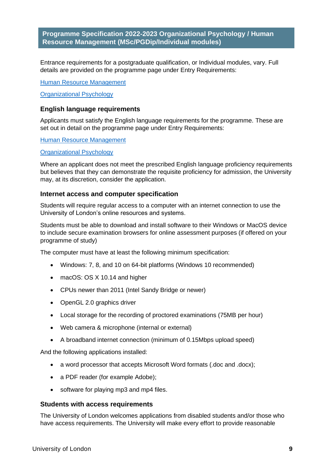Entrance requirements for a postgraduate qualification, or Individual modules, vary. Full details are provided on the programme page under Entry Requirements:

[Human Resource Management](https://london.ac.uk/courses/human-resource-management#entry-requirements-942)

[Organizational Psychology](https://london.ac.uk/courses/organizational-psychology#entry-requirements-942)

#### **English language requirements**

Applicants must satisfy the English language requirements for the programme. These are set out in detail on the programme page under Entry Requirements:

[Human Resource Management](https://london.ac.uk/courses/human-resource-management#entry-requirements-942)

#### [Organizational Psychology](https://london.ac.uk/courses/organizational-psychology#entry-requirements-942)

Where an applicant does not meet the prescribed English language proficiency requirements but believes that they can demonstrate the requisite proficiency for admission, the University may, at its discretion, consider the application.

#### **Internet access and computer specification**

Students will require regular access to a computer with an internet connection to use the University of London's online resources and systems.

Students must be able to download and install software to their Windows or MacOS device to include secure examination browsers for online assessment purposes (if offered on your programme of study)

The computer must have at least the following minimum specification:

- Windows: 7, 8, and 10 on 64-bit platforms (Windows 10 recommended)
- macOS: OS X 10.14 and higher
- CPUs newer than 2011 (Intel Sandy Bridge or newer)
- OpenGL 2.0 graphics driver
- Local storage for the recording of proctored examinations (75MB per hour)
- Web camera & microphone (internal or external)
- A broadband internet connection (minimum of 0.15Mbps upload speed)

And the following applications installed:

- a word processor that accepts Microsoft Word formats (.doc and .docx):
- a PDF reader (for example Adobe);
- software for playing mp3 and mp4 files.

#### **Students with access requirements**

The University of London welcomes applications from disabled students and/or those who have access requirements. The University will make every effort to provide reasonable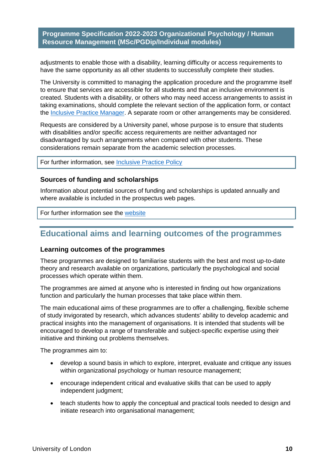adjustments to enable those with a disability, learning difficulty or access requirements to have the same opportunity as all other students to successfully complete their studies.

The University is committed to managing the application procedure and the programme itself to ensure that services are accessible for all students and that an inclusive environment is created. Students with a disability, or others who may need access arrangements to assist in taking examinations, should complete the relevant section of the application form, or contact the [Inclusive Practice Manager.](mailto:special.arrangements@london.ac.uk) A separate room or other arrangements may be considered.

Requests are considered by a University panel, whose purpose is to ensure that students with disabilities and/or specific access requirements are neither advantaged nor disadvantaged by such arrangements when compared with other students. These considerations remain separate from the academic selection processes.

For further information, see [Inclusive Practice Policy](https://london.ac.uk/applications/how-it-works/inclusive-practice-special-arrangements)

#### **Sources of funding and scholarships**

Information about potential sources of funding and scholarships is updated annually and where available is included in the prospectus web pages.

For further information see the [website](https://london.ac.uk/applications/funding-your-study)

## <span id="page-10-0"></span>**Educational aims and learning outcomes of the programmes**

#### **Learning outcomes of the programmes**

These programmes are designed to familiarise students with the best and most up-to-date theory and research available on organizations, particularly the psychological and social processes which operate within them.

The programmes are aimed at anyone who is interested in finding out how organizations function and particularly the human processes that take place within them.

The main educational aims of these programmes are to offer a challenging, flexible scheme of study invigorated by research, which advances students' ability to develop academic and practical insights into the management of organisations. It is intended that students will be encouraged to develop a range of transferable and subject-specific expertise using their initiative and thinking out problems themselves.

The programmes aim to:

- develop a sound basis in which to explore, interpret, evaluate and critique any issues within organizational psychology or human resource management;
- encourage independent critical and evaluative skills that can be used to apply independent judgment;
- teach students how to apply the conceptual and practical tools needed to design and initiate research into organisational management;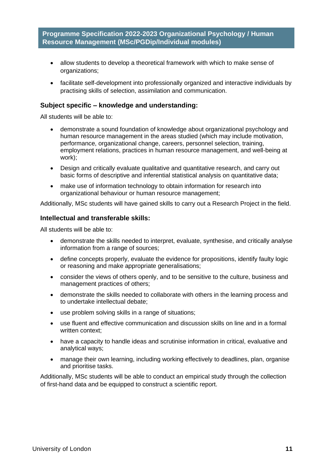- allow students to develop a theoretical framework with which to make sense of organizations;
- facilitate self-development into professionally organized and interactive individuals by practising skills of selection, assimilation and communication.

#### **Subject specific – knowledge and understanding:**

All students will be able to:

- demonstrate a sound foundation of knowledge about organizational psychology and human resource management in the areas studied (which may include motivation, performance, organizational change, careers, personnel selection, training, employment relations, practices in human resource management, and well-being at work);
- Design and critically evaluate qualitative and quantitative research, and carry out basic forms of descriptive and inferential statistical analysis on quantitative data;
- make use of information technology to obtain information for research into organizational behaviour or human resource management;

Additionally, MSc students will have gained skills to carry out a Research Project in the field.

#### **Intellectual and transferable skills:**

All students will be able to:

- demonstrate the skills needed to interpret, evaluate, synthesise, and critically analyse information from a range of sources;
- define concepts properly, evaluate the evidence for propositions, identify faulty logic or reasoning and make appropriate generalisations;
- consider the views of others openly, and to be sensitive to the culture, business and management practices of others;
- demonstrate the skills needed to collaborate with others in the learning process and to undertake intellectual debate;
- use problem solving skills in a range of situations;
- use fluent and effective communication and discussion skills on line and in a formal written context;
- have a capacity to handle ideas and scrutinise information in critical, evaluative and analytical ways;
- manage their own learning, including working effectively to deadlines, plan, organise and prioritise tasks.

Additionally, MSc students will be able to conduct an empirical study through the collection of first-hand data and be equipped to construct a scientific report.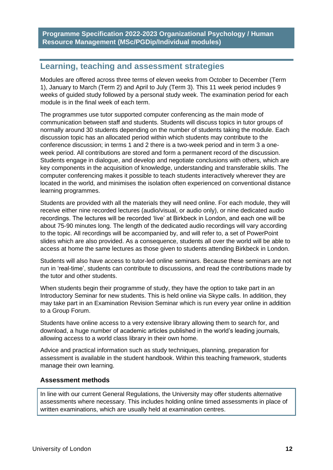# <span id="page-12-0"></span>**Learning, teaching and assessment strategies**

Modules are offered across three terms of eleven weeks from October to December (Term 1), January to March (Term 2) and April to July (Term 3). This 11 week period includes 9 weeks of guided study followed by a personal study week. The examination period for each module is in the final week of each term.

The programmes use tutor supported computer conferencing as the main mode of communication between staff and students. Students will discuss topics in tutor groups of normally around 30 students depending on the number of students taking the module. Each discussion topic has an allocated period within which students may contribute to the conference discussion; in terms 1 and 2 there is a two-week period and in term 3 a oneweek period. All contributions are stored and form a permanent record of the discussion. Students engage in dialogue, and develop and negotiate conclusions with others, which are key components in the acquisition of knowledge, understanding and transferable skills. The computer conferencing makes it possible to teach students interactively wherever they are located in the world, and minimises the isolation often experienced on conventional distance learning programmes.

Students are provided with all the materials they will need online. For each module, they will receive either nine recorded lectures (audio/visual, or audio only), or nine dedicated audio recordings. The lectures will be recorded 'live' at Birkbeck in London, and each one will be about 75-90 minutes long. The length of the dedicated audio recordings will vary according to the topic. All recordings will be accompanied by, and will refer to, a set of PowerPoint slides which are also provided. As a consequence, students all over the world will be able to access at home the same lectures as those given to students attending Birkbeck in London.

Students will also have access to tutor-led online seminars. Because these seminars are not run in 'real-time', students can contribute to discussions, and read the contributions made by the tutor and other students.

When students begin their programme of study, they have the option to take part in an Introductory Seminar for new students. This is held online via Skype calls. In addition, they may take part in an Examination Revision Seminar which is run every year online in addition to a Group Forum.

Students have online access to a very extensive library allowing them to search for, and download, a huge number of academic articles published in the world's leading journals, allowing access to a world class library in their own home.

Advice and practical information such as study techniques, planning, preparation for assessment is available in the student handbook. Within this teaching framework, students manage their own learning.

#### **Assessment methods**

In line with our current General Regulations, the University may offer students alternative assessments where necessary. This includes holding online timed assessments in place of written examinations, which are usually held at examination centres.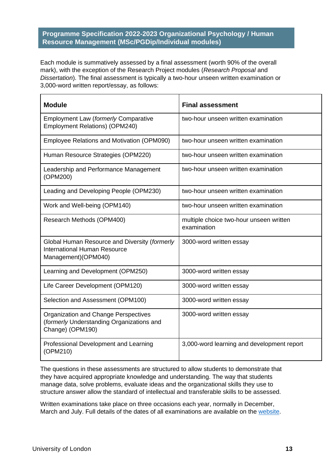Each module is summatively assessed by a final assessment (worth 90% of the overall mark), with the exception of the Research Project modules (*Research Proposal* and *Dissertation*). The final assessment is typically a two-hour unseen written examination or 3,000-word written report/essay, as follows:

| <b>Module</b>                                                                                               | <b>Final assessment</b>                                |
|-------------------------------------------------------------------------------------------------------------|--------------------------------------------------------|
| <b>Employment Law (formerly Comparative</b><br>Employment Relations) (OPM240)                               | two-hour unseen written examination                    |
| Employee Relations and Motivation (OPM090)                                                                  | two-hour unseen written examination                    |
| Human Resource Strategies (OPM220)                                                                          | two-hour unseen written examination                    |
| Leadership and Performance Management<br>(OPM200)                                                           | two-hour unseen written examination                    |
| Leading and Developing People (OPM230)                                                                      | two-hour unseen written examination                    |
| Work and Well-being (OPM140)                                                                                | two-hour unseen written examination                    |
| Research Methods (OPM400)                                                                                   | multiple choice two-hour unseen written<br>examination |
| Global Human Resource and Diversity (formerly<br><b>International Human Resource</b><br>Management)(OPM040) | 3000-word written essay                                |
| Learning and Development (OPM250)                                                                           | 3000-word written essay                                |
| Life Career Development (OPM120)                                                                            | 3000-word written essay                                |
| Selection and Assessment (OPM100)                                                                           | 3000-word written essay                                |
| Organization and Change Perspectives<br>(formerly Understanding Organizations and<br>Change) (OPM190)       | 3000-word written essay                                |
| Professional Development and Learning<br>(OPM210)                                                           | 3,000-word learning and development report             |

The questions in these assessments are structured to allow students to demonstrate that they have acquired appropriate knowledge and understanding. The way that students manage data, solve problems, evaluate ideas and the organizational skills they use to structure answer allow the standard of intellectual and transferable skills to be assessed.

Written examinations take place on three occasions each year, normally in December, March and July. Full details of the dates of all examinations are available on the [website.](https://london.ac.uk/current-students/examinations/exam-timetables)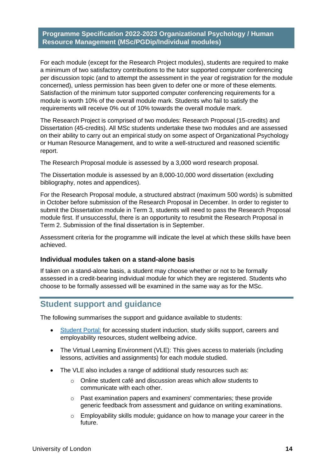For each module (except for the Research Project modules), students are required to make a minimum of two satisfactory contributions to the tutor supported computer conferencing per discussion topic (and to attempt the assessment in the year of registration for the module concerned), unless permission has been given to defer one or more of these elements. Satisfaction of the minimum tutor supported computer conferencing requirements for a module is worth 10% of the overall module mark. Students who fail to satisfy the requirements will receive 0% out of 10% towards the overall module mark.

The Research Project is comprised of two modules: Research Proposal (15-credits) and Dissertation (45-credits). All MSc students undertake these two modules and are assessed on their ability to carry out an empirical study on some aspect of Organizational Psychology or Human Resource Management, and to write a well-structured and reasoned scientific report.

The Research Proposal module is assessed by a 3,000 word research proposal.

The Dissertation module is assessed by an 8,000-10,000 word dissertation (excluding bibliography, notes and appendices).

For the Research Proposal module, a structured abstract (maximum 500 words) is submitted in October before submission of the Research Proposal in December. In order to register to submit the Dissertation module in Term 3, students will need to pass the Research Proposal module first. If unsuccessful, there is an opportunity to resubmit the Research Proposal in Term 2. Submission of the final dissertation is in September.

Assessment criteria for the programme will indicate the level at which these skills have been achieved.

#### **Individual modules taken on a stand-alone basis**

If taken on a stand-alone basis, a student may choose whether or not to be formally assessed in a credit-bearing individual module for which they are registered. Students who choose to be formally assessed will be examined in the same way as for the MSc.

# <span id="page-14-0"></span>**Student support and guidance**

The following summarises the support and guidance available to students:

- [Student Portal:](https://my.london.ac.uk/) for accessing student induction, study skills support, careers and employability resources, student wellbeing advice.
- The Virtual Learning Environment (VLE): This gives access to materials (including lessons, activities and assignments) for each module studied.
- The VLE also includes a range of additional study resources such as:
	- $\circ$  Online student café and discussion areas which allow students to communicate with each other.
	- o Past examination papers and examiners' commentaries; these provide generic feedback from assessment and guidance on writing examinations.
	- o Employability skills module; guidance on how to manage your career in the future.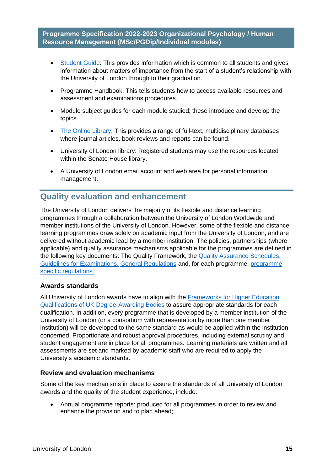- Student Guide: This provides information which is common to all students and gives information about matters of importance from the start of a student's relationship with the University of London through to their graduation.
- Programme Handbook: This tells students how to access available resources and assessment and examinations procedures.
- Module subject guides for each module studied; these introduce and develop the topics.
- The Online Library: This provides a range of full-text, multidisciplinary databases where journal articles, book reviews and reports can be found.
- University of London library: Registered students may use the resources located within the Senate House library.
- A University of London email account and web area for personal information management.

# <span id="page-15-0"></span>**Quality evaluation and enhancement**

The University of London delivers the majority of its flexible and distance learning programmes through a collaboration between the University of London Worldwide and member institutions of the University of London. However, some of the flexible and distance learning programmes draw solely on academic input from the University of London, and are delivered without academic lead by a member institution. The policies, partnerships (where applicable) and quality assurance mechanisms applicable for the programmes are defined in the following key documents: The Quality Framework, the Quality Assurance Schedules, Guidelines for Examinations, General Regulations and, for each programme, programme specific regulations.

#### **Awards standards**

All University of London awards have to align with the Frameworks for Higher Education Qualifications of UK Degree-Awarding Bodies to assure appropriate standards for each qualification. In addition, every programme that is developed by a member institution of the University of London (or a consortium with representation by more than one member institution) will be developed to the same standard as would be applied within the institution concerned. Proportionate and robust approval procedures, including external scrutiny and student engagement are in place for all programmes. Learning materials are written and all assessments are set and marked by academic staff who are required to apply the University's academic standards.

#### **Review and evaluation mechanisms**

Some of the key mechanisms in place to assure the standards of all University of London awards and the quality of the student experience, include:

• Annual programme reports: produced for all programmes in order to review and enhance the provision and to plan ahead;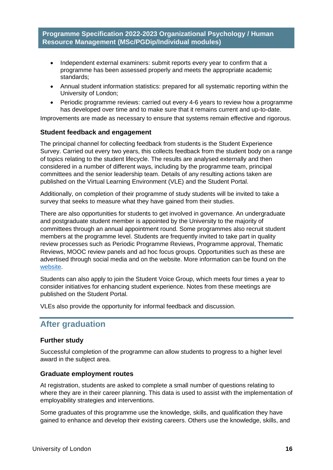- Independent external examiners: submit reports every year to confirm that a programme has been assessed properly and meets the appropriate academic standards;
- Annual student information statistics: prepared for all systematic reporting within the University of London;
- Periodic programme reviews: carried out every 4-6 years to review how a programme has developed over time and to make sure that it remains current and up-to-date.

Improvements are made as necessary to ensure that systems remain effective and rigorous.

#### **Student feedback and engagement**

The principal channel for collecting feedback from students is the Student Experience Survey. Carried out every two years, this collects feedback from the student body on a range of topics relating to the student lifecycle. The results are analysed externally and then considered in a number of different ways, including by the programme team, principal committees and the senior leadership team. Details of any resulting actions taken are published on the Virtual Learning Environment (VLE) and the Student Portal.

Additionally, on completion of their programme of study students will be invited to take a survey that seeks to measure what they have gained from their studies.

There are also opportunities for students to get involved in governance. An undergraduate and postgraduate student member is appointed by the University to the majority of committees through an annual appointment round. Some programmes also recruit student members at the programme level. Students are frequently invited to take part in quality review processes such as Periodic Programme Reviews, Programme approval, Thematic Reviews, MOOC review panels and ad hoc focus groups. Opportunities such as these are advertised through social media and on the website. More information can be found on the website.

Students can also apply to join the Student Voice Group, which meets four times a year to consider initiatives for enhancing student experience. Notes from these meetings are published on the Student Portal.

VLEs also provide the opportunity for informal feedback and discussion.

# <span id="page-16-0"></span>**After graduation**

#### **Further study**

Successful completion of the programme can allow students to progress to a higher level award in the subject area.

#### **Graduate employment routes**

At registration, students are asked to complete a small number of questions relating to where they are in their career planning. This data is used to assist with the implementation of employability strategies and interventions.

Some graduates of this programme use the knowledge, skills, and qualification they have gained to enhance and develop their existing careers. Others use the knowledge, skills, and